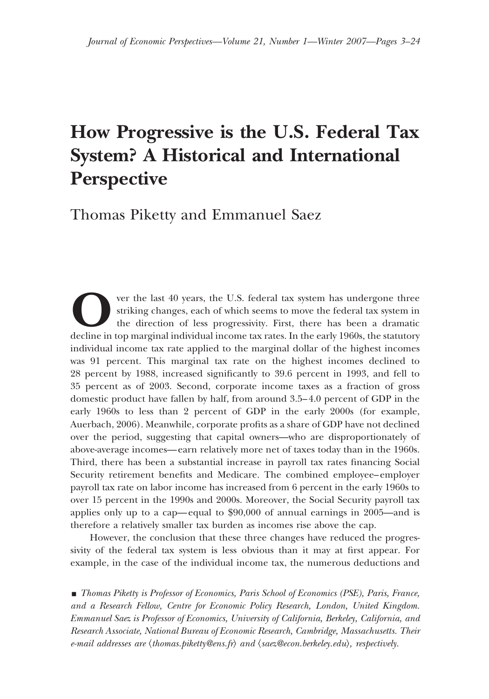# **How Progressive is the U.S. Federal Tax System? A Historical and International Perspective**

Thomas Piketty and Emmanuel Saez

**O**ver the last 40 years, the U.S. federal tax system has undergone three striking changes, each of which seems to move the federal tax system in the direction of less progressivity. First, there has been a dramatic declin striking changes, each of which seems to move the federal tax system in the direction of less progressivity. First, there has been a dramatic individual income tax rate applied to the marginal dollar of the highest incomes was 91 percent. This marginal tax rate on the highest incomes declined to 28 percent by 1988, increased significantly to 39.6 percent in 1993, and fell to 35 percent as of 2003. Second, corporate income taxes as a fraction of gross domestic product have fallen by half, from around 3.5–4.0 percent of GDP in the early 1960s to less than 2 percent of GDP in the early 2000s (for example, Auerbach, 2006). Meanwhile, corporate profits as a share of GDP have not declined over the period, suggesting that capital owners—who are disproportionately of above-average incomes—earn relatively more net of taxes today than in the 1960s. Third, there has been a substantial increase in payroll tax rates financing Social Security retirement benefits and Medicare. The combined employee–employer payroll tax rate on labor income has increased from 6 percent in the early 1960s to over 15 percent in the 1990s and 2000s. Moreover, the Social Security payroll tax applies only up to a cap—equal to \$90,000 of annual earnings in 2005—and is therefore a relatively smaller tax burden as incomes rise above the cap.

However, the conclusion that these three changes have reduced the progressivity of the federal tax system is less obvious than it may at first appear. For example, in the case of the individual income tax, the numerous deductions and

y *Thomas Piketty is Professor of Economics, Paris School of Economics (PSE), Paris, France, and a Research Fellow, Centre for Economic Policy Research, London, United Kingdom. Emmanuel Saez is Professor of Economics, University of California, Berkeley, California, and Research Associate, National Bureau of Economic Research, Cambridge, Massachusetts. Their e-mail addresses are thomas.piketty@ens.fr*- *and saez@econ.berkeley.edu*-*, respectively.*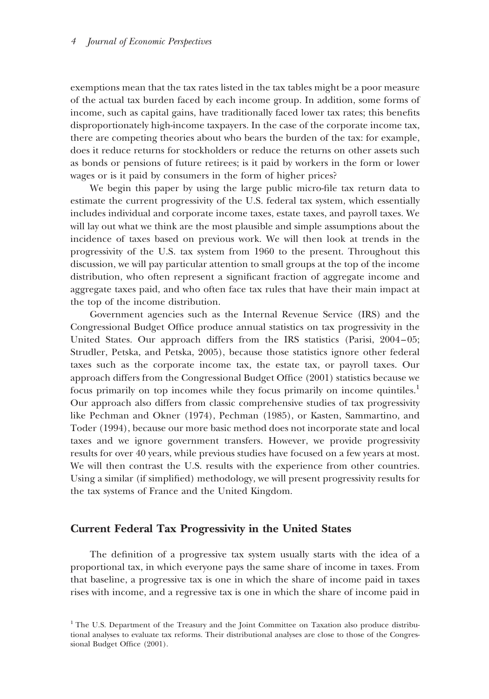exemptions mean that the tax rates listed in the tax tables might be a poor measure of the actual tax burden faced by each income group. In addition, some forms of income, such as capital gains, have traditionally faced lower tax rates; this benefits disproportionately high-income taxpayers. In the case of the corporate income tax, there are competing theories about who bears the burden of the tax: for example, does it reduce returns for stockholders or reduce the returns on other assets such as bonds or pensions of future retirees; is it paid by workers in the form or lower wages or is it paid by consumers in the form of higher prices?

We begin this paper by using the large public micro-file tax return data to estimate the current progressivity of the U.S. federal tax system, which essentially includes individual and corporate income taxes, estate taxes, and payroll taxes. We will lay out what we think are the most plausible and simple assumptions about the incidence of taxes based on previous work. We will then look at trends in the progressivity of the U.S. tax system from 1960 to the present. Throughout this discussion, we will pay particular attention to small groups at the top of the income distribution, who often represent a significant fraction of aggregate income and aggregate taxes paid, and who often face tax rules that have their main impact at the top of the income distribution.

Government agencies such as the Internal Revenue Service (IRS) and the Congressional Budget Office produce annual statistics on tax progressivity in the United States. Our approach differs from the IRS statistics (Parisi, 2004–05; Strudler, Petska, and Petska, 2005), because those statistics ignore other federal taxes such as the corporate income tax, the estate tax, or payroll taxes. Our approach differs from the Congressional Budget Office (2001) statistics because we focus primarily on top incomes while they focus primarily on income quintiles.1 Our approach also differs from classic comprehensive studies of tax progressivity like Pechman and Okner (1974), Pechman (1985), or Kasten, Sammartino, and Toder (1994), because our more basic method does not incorporate state and local taxes and we ignore government transfers. However, we provide progressivity results for over 40 years, while previous studies have focused on a few years at most. We will then contrast the U.S. results with the experience from other countries. Using a similar (if simplified) methodology, we will present progressivity results for the tax systems of France and the United Kingdom.

# **Current Federal Tax Progressivity in the United States**

The definition of a progressive tax system usually starts with the idea of a proportional tax, in which everyone pays the same share of income in taxes. From that baseline, a progressive tax is one in which the share of income paid in taxes rises with income, and a regressive tax is one in which the share of income paid in

<sup>&</sup>lt;sup>1</sup> The U.S. Department of the Treasury and the Joint Committee on Taxation also produce distributional analyses to evaluate tax reforms. Their distributional analyses are close to those of the Congressional Budget Office (2001).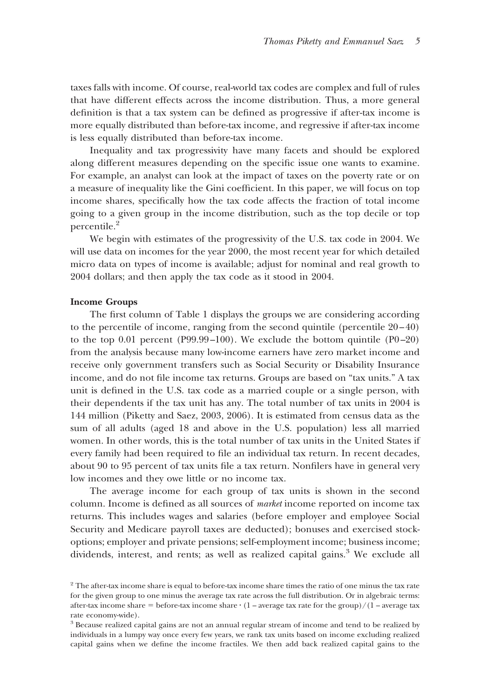taxes falls with income. Of course, real-world tax codes are complex and full of rules that have different effects across the income distribution. Thus, a more general definition is that a tax system can be defined as progressive if after-tax income is more equally distributed than before-tax income, and regressive if after-tax income is less equally distributed than before-tax income.

Inequality and tax progressivity have many facets and should be explored along different measures depending on the specific issue one wants to examine. For example, an analyst can look at the impact of taxes on the poverty rate or on a measure of inequality like the Gini coefficient. In this paper, we will focus on top income shares, specifically how the tax code affects the fraction of total income going to a given group in the income distribution, such as the top decile or top percentile.<sup>2</sup>

We begin with estimates of the progressivity of the U.S. tax code in 2004. We will use data on incomes for the year 2000, the most recent year for which detailed micro data on types of income is available; adjust for nominal and real growth to 2004 dollars; and then apply the tax code as it stood in 2004.

#### **Income Groups**

The first column of Table 1 displays the groups we are considering according to the percentile of income, ranging from the second quintile (percentile 20–40) to the top 0.01 percent (P99.99–100). We exclude the bottom quintile (P0–20) from the analysis because many low-income earners have zero market income and receive only government transfers such as Social Security or Disability Insurance income, and do not file income tax returns. Groups are based on "tax units." A tax unit is defined in the U.S. tax code as a married couple or a single person, with their dependents if the tax unit has any. The total number of tax units in 2004 is 144 million (Piketty and Saez, 2003, 2006). It is estimated from census data as the sum of all adults (aged 18 and above in the U.S. population) less all married women. In other words, this is the total number of tax units in the United States if every family had been required to file an individual tax return. In recent decades, about 90 to 95 percent of tax units file a tax return. Nonfilers have in general very low incomes and they owe little or no income tax.

The average income for each group of tax units is shown in the second column. Income is defined as all sources of *market* income reported on income tax returns. This includes wages and salaries (before employer and employee Social Security and Medicare payroll taxes are deducted); bonuses and exercised stockoptions; employer and private pensions; self-employment income; business income; dividends, interest, and rents; as well as realized capital gains.<sup>3</sup> We exclude all

<sup>2</sup> The after-tax income share is equal to before-tax income share times the ratio of one minus the tax rate for the given group to one minus the average tax rate across the full distribution. Or in algebraic terms: after-tax income share  $=$  before-tax income share  $\cdot (1 - \text{average tax rate for the group})/(1 - \text{average tax})$ rate economy-wide).

<sup>3</sup> Because realized capital gains are not an annual regular stream of income and tend to be realized by individuals in a lumpy way once every few years, we rank tax units based on income excluding realized capital gains when we define the income fractiles. We then add back realized capital gains to the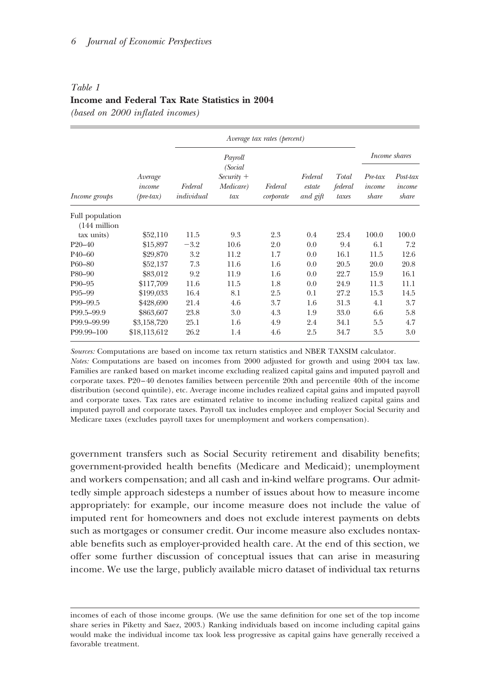#### *Table 1*

## **Income and Federal Tax Rate Statistics in 2004**

*(based on 2000 inflated incomes)*

|                      |                                         | Payroll<br>(Social    |                                  |                      |                               |                           | <i>Income shares</i>       |                             |
|----------------------|-----------------------------------------|-----------------------|----------------------------------|----------------------|-------------------------------|---------------------------|----------------------------|-----------------------------|
| <i>Income groups</i> | Average<br>income<br>$(\text{pre-tax})$ | Federal<br>individual | $Security +$<br>Medicare)<br>tax | Federal<br>corporate | Federal<br>estate<br>and gift | Total<br>federal<br>taxes | Pre-tax<br>income<br>share | Post-tax<br>income<br>share |
| Full population      |                                         |                       |                                  |                      |                               |                           |                            |                             |
| $(144$ million       |                                         |                       |                                  |                      |                               |                           |                            |                             |
| tax units)           | \$52,110                                | 11.5                  | 9.3                              | 2.3                  | 0.4                           | 23.4                      | 100.0                      | 100.0                       |
| $P20 - 40$           | \$15,897                                | $-3.2$                | 10.6                             | 2.0                  | 0.0                           | 9.4                       | 6.1                        | 7.2                         |
| $P40 - 60$           | \$29,870                                | 3.2                   | 11.2                             | 1.7                  | 0.0                           | 16.1                      | 11.5                       | 12.6                        |
| P60-80               | \$52,137                                | 7.3                   | 11.6                             | 1.6                  | 0.0                           | 20.5                      | 20.0                       | 20.8                        |
| P80-90               | \$83,012                                | 9.2                   | 11.9                             | 1.6                  | 0.0                           | 22.7                      | 15.9                       | 16.1                        |
| P90-95               | \$117,709                               | 11.6                  | 11.5                             | 1.8                  | 0.0                           | 24.9                      | 11.3                       | 11.1                        |
| P95-99               | \$199,033                               | 16.4                  | 8.1                              | 2.5                  | 0.1                           | 27.2                      | 15.3                       | 14.5                        |
| P99-99.5             | \$428,690                               | 21.4                  | 4.6                              | 3.7                  | 1.6                           | 31.3                      | 4.1                        | 3.7                         |
| P99.5-99.9           | \$863,607                               | 23.8                  | 3.0                              | 4.3                  | 1.9                           | 33.0                      | 6.6                        | 5.8                         |
| P99.9-99.99          | \$3,158,720                             | 25.1                  | 1.6                              | 4.9                  | 2.4                           | 34.1                      | 5.5                        | 4.7                         |
| P99.99-100           | \$18,113,612                            | 26.2                  | 1.4                              | 4.6                  | 2.5                           | 34.7                      | 3.5                        | 3.0                         |

*Sources:* Computations are based on income tax return statistics and NBER TAXSIM calculator.

*Notes:* Computations are based on incomes from 2000 adjusted for growth and using 2004 tax law. Families are ranked based on market income excluding realized capital gains and imputed payroll and corporate taxes. P20–40 denotes families between percentile 20th and percentile 40th of the income distribution (second quintile), etc. Average income includes realized capital gains and imputed payroll and corporate taxes. Tax rates are estimated relative to income including realized capital gains and imputed payroll and corporate taxes. Payroll tax includes employee and employer Social Security and Medicare taxes (excludes payroll taxes for unemployment and workers compensation).

government transfers such as Social Security retirement and disability benefits; government-provided health benefits (Medicare and Medicaid); unemployment and workers compensation; and all cash and in-kind welfare programs. Our admittedly simple approach sidesteps a number of issues about how to measure income appropriately: for example, our income measure does not include the value of imputed rent for homeowners and does not exclude interest payments on debts such as mortgages or consumer credit. Our income measure also excludes nontaxable benefits such as employer-provided health care. At the end of this section, we offer some further discussion of conceptual issues that can arise in measuring income. We use the large, publicly available micro dataset of individual tax returns

incomes of each of those income groups. (We use the same definition for one set of the top income share series in Piketty and Saez, 2003.) Ranking individuals based on income including capital gains would make the individual income tax look less progressive as capital gains have generally received a favorable treatment.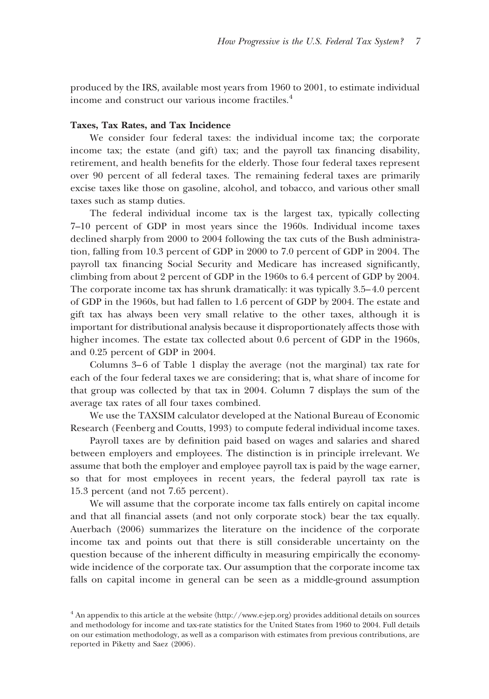produced by the IRS, available most years from 1960 to 2001, to estimate individual income and construct our various income fractiles.<sup>4</sup>

#### **Taxes, Tax Rates, and Tax Incidence**

We consider four federal taxes: the individual income tax; the corporate income tax; the estate (and gift) tax; and the payroll tax financing disability, retirement, and health benefits for the elderly. Those four federal taxes represent over 90 percent of all federal taxes. The remaining federal taxes are primarily excise taxes like those on gasoline, alcohol, and tobacco, and various other small taxes such as stamp duties.

The federal individual income tax is the largest tax, typically collecting 7–10 percent of GDP in most years since the 1960s. Individual income taxes declined sharply from 2000 to 2004 following the tax cuts of the Bush administration, falling from 10.3 percent of GDP in 2000 to 7.0 percent of GDP in 2004. The payroll tax financing Social Security and Medicare has increased significantly, climbing from about 2 percent of GDP in the 1960s to 6.4 percent of GDP by 2004. The corporate income tax has shrunk dramatically: it was typically 3.5–4.0 percent of GDP in the 1960s, but had fallen to 1.6 percent of GDP by 2004. The estate and gift tax has always been very small relative to the other taxes, although it is important for distributional analysis because it disproportionately affects those with higher incomes. The estate tax collected about 0.6 percent of GDP in the 1960s, and 0.25 percent of GDP in 2004.

Columns 3–6 of Table 1 display the average (not the marginal) tax rate for each of the four federal taxes we are considering; that is, what share of income for that group was collected by that tax in 2004. Column 7 displays the sum of the average tax rates of all four taxes combined.

We use the TAXSIM calculator developed at the National Bureau of Economic Research (Feenberg and Coutts, 1993) to compute federal individual income taxes.

Payroll taxes are by definition paid based on wages and salaries and shared between employers and employees. The distinction is in principle irrelevant. We assume that both the employer and employee payroll tax is paid by the wage earner, so that for most employees in recent years, the federal payroll tax rate is 15.3 percent (and not 7.65 percent).

We will assume that the corporate income tax falls entirely on capital income and that all financial assets (and not only corporate stock) bear the tax equally. Auerbach (2006) summarizes the literature on the incidence of the corporate income tax and points out that there is still considerable uncertainty on the question because of the inherent difficulty in measuring empirically the economywide incidence of the corporate tax. Our assumption that the corporate income tax falls on capital income in general can be seen as a middle-ground assumption

<sup>&</sup>lt;sup>4</sup> An appendix to this article at the website  $\langle$ http://www.e-jep.org) provides additional details on sources and methodology for income and tax-rate statistics for the United States from 1960 to 2004. Full details on our estimation methodology, as well as a comparison with estimates from previous contributions, are reported in Piketty and Saez (2006).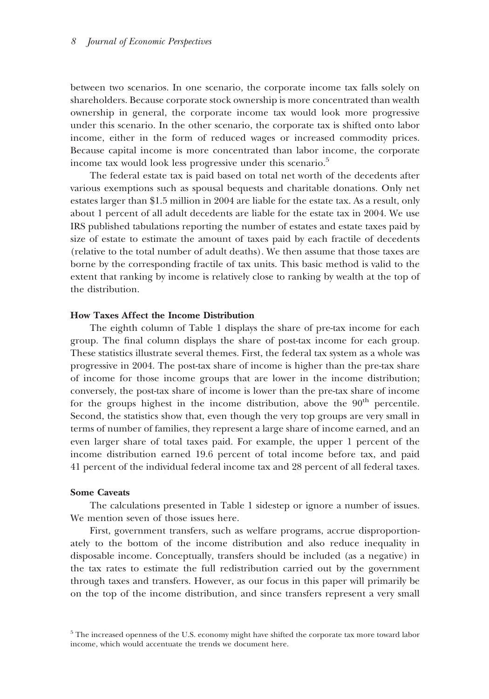between two scenarios. In one scenario, the corporate income tax falls solely on shareholders. Because corporate stock ownership is more concentrated than wealth ownership in general, the corporate income tax would look more progressive under this scenario. In the other scenario, the corporate tax is shifted onto labor income, either in the form of reduced wages or increased commodity prices. Because capital income is more concentrated than labor income, the corporate income tax would look less progressive under this scenario.<sup>5</sup>

The federal estate tax is paid based on total net worth of the decedents after various exemptions such as spousal bequests and charitable donations. Only net estates larger than \$1.5 million in 2004 are liable for the estate tax. As a result, only about 1 percent of all adult decedents are liable for the estate tax in 2004. We use IRS published tabulations reporting the number of estates and estate taxes paid by size of estate to estimate the amount of taxes paid by each fractile of decedents (relative to the total number of adult deaths). We then assume that those taxes are borne by the corresponding fractile of tax units. This basic method is valid to the extent that ranking by income is relatively close to ranking by wealth at the top of the distribution.

## **How Taxes Affect the Income Distribution**

The eighth column of Table 1 displays the share of pre-tax income for each group. The final column displays the share of post-tax income for each group. These statistics illustrate several themes. First, the federal tax system as a whole was progressive in 2004. The post-tax share of income is higher than the pre-tax share of income for those income groups that are lower in the income distribution; conversely, the post-tax share of income is lower than the pre-tax share of income for the groups highest in the income distribution, above the  $90<sup>th</sup>$  percentile. Second, the statistics show that, even though the very top groups are very small in terms of number of families, they represent a large share of income earned, and an even larger share of total taxes paid. For example, the upper 1 percent of the income distribution earned 19.6 percent of total income before tax, and paid 41 percent of the individual federal income tax and 28 percent of all federal taxes.

### **Some Caveats**

The calculations presented in Table 1 sidestep or ignore a number of issues. We mention seven of those issues here.

First, government transfers, such as welfare programs, accrue disproportionately to the bottom of the income distribution and also reduce inequality in disposable income. Conceptually, transfers should be included (as a negative) in the tax rates to estimate the full redistribution carried out by the government through taxes and transfers. However, as our focus in this paper will primarily be on the top of the income distribution, and since transfers represent a very small

<sup>&</sup>lt;sup>5</sup> The increased openness of the U.S. economy might have shifted the corporate tax more toward labor income, which would accentuate the trends we document here.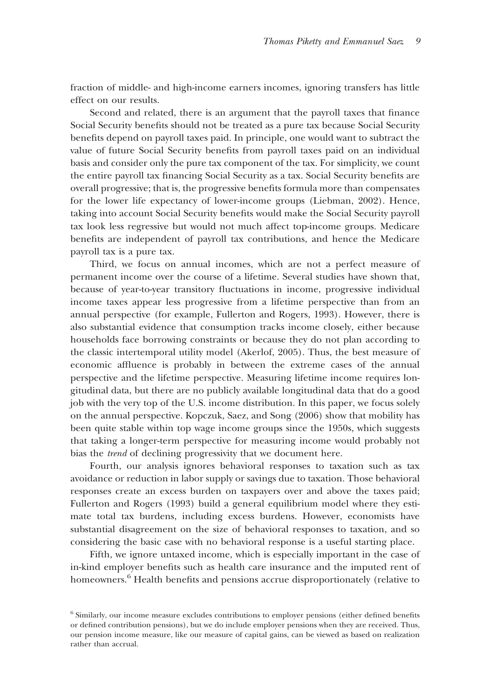fraction of middle- and high-income earners incomes, ignoring transfers has little effect on our results.

Second and related, there is an argument that the payroll taxes that finance Social Security benefits should not be treated as a pure tax because Social Security benefits depend on payroll taxes paid. In principle, one would want to subtract the value of future Social Security benefits from payroll taxes paid on an individual basis and consider only the pure tax component of the tax. For simplicity, we count the entire payroll tax financing Social Security as a tax. Social Security benefits are overall progressive; that is, the progressive benefits formula more than compensates for the lower life expectancy of lower-income groups (Liebman, 2002). Hence, taking into account Social Security benefits would make the Social Security payroll tax look less regressive but would not much affect top-income groups. Medicare benefits are independent of payroll tax contributions, and hence the Medicare payroll tax is a pure tax.

Third, we focus on annual incomes, which are not a perfect measure of permanent income over the course of a lifetime. Several studies have shown that, because of year-to-year transitory fluctuations in income, progressive individual income taxes appear less progressive from a lifetime perspective than from an annual perspective (for example, Fullerton and Rogers, 1993). However, there is also substantial evidence that consumption tracks income closely, either because households face borrowing constraints or because they do not plan according to the classic intertemporal utility model (Akerlof, 2005). Thus, the best measure of economic affluence is probably in between the extreme cases of the annual perspective and the lifetime perspective. Measuring lifetime income requires longitudinal data, but there are no publicly available longitudinal data that do a good job with the very top of the U.S. income distribution. In this paper, we focus solely on the annual perspective. Kopczuk, Saez, and Song (2006) show that mobility has been quite stable within top wage income groups since the 1950s, which suggests that taking a longer-term perspective for measuring income would probably not bias the *trend* of declining progressivity that we document here.

Fourth, our analysis ignores behavioral responses to taxation such as tax avoidance or reduction in labor supply or savings due to taxation. Those behavioral responses create an excess burden on taxpayers over and above the taxes paid; Fullerton and Rogers (1993) build a general equilibrium model where they estimate total tax burdens, including excess burdens. However, economists have substantial disagreement on the size of behavioral responses to taxation, and so considering the basic case with no behavioral response is a useful starting place.

Fifth, we ignore untaxed income, which is especially important in the case of in-kind employer benefits such as health care insurance and the imputed rent of homeowners.<sup>6</sup> Health benefits and pensions accrue disproportionately (relative to

<sup>6</sup> Similarly, our income measure excludes contributions to employer pensions (either defined benefits or defined contribution pensions), but we do include employer pensions when they are received. Thus, our pension income measure, like our measure of capital gains, can be viewed as based on realization rather than accrual.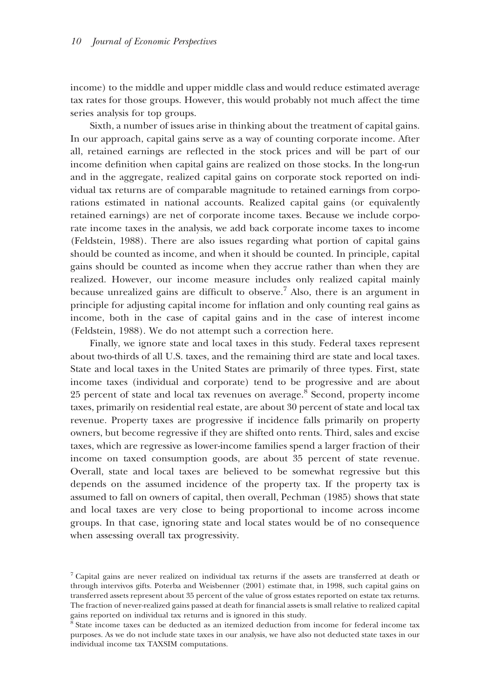income) to the middle and upper middle class and would reduce estimated average tax rates for those groups. However, this would probably not much affect the time series analysis for top groups.

Sixth, a number of issues arise in thinking about the treatment of capital gains. In our approach, capital gains serve as a way of counting corporate income. After all, retained earnings are reflected in the stock prices and will be part of our income definition when capital gains are realized on those stocks. In the long-run and in the aggregate, realized capital gains on corporate stock reported on individual tax returns are of comparable magnitude to retained earnings from corporations estimated in national accounts. Realized capital gains (or equivalently retained earnings) are net of corporate income taxes. Because we include corporate income taxes in the analysis, we add back corporate income taxes to income (Feldstein, 1988). There are also issues regarding what portion of capital gains should be counted as income, and when it should be counted. In principle, capital gains should be counted as income when they accrue rather than when they are realized. However, our income measure includes only realized capital mainly because unrealized gains are difficult to observe.<sup>7</sup> Also, there is an argument in principle for adjusting capital income for inflation and only counting real gains as income, both in the case of capital gains and in the case of interest income (Feldstein, 1988). We do not attempt such a correction here.

Finally, we ignore state and local taxes in this study. Federal taxes represent about two-thirds of all U.S. taxes, and the remaining third are state and local taxes. State and local taxes in the United States are primarily of three types. First, state income taxes (individual and corporate) tend to be progressive and are about 25 percent of state and local tax revenues on average.8 Second, property income taxes, primarily on residential real estate, are about 30 percent of state and local tax revenue. Property taxes are progressive if incidence falls primarily on property owners, but become regressive if they are shifted onto rents. Third, sales and excise taxes, which are regressive as lower-income families spend a larger fraction of their income on taxed consumption goods, are about 35 percent of state revenue. Overall, state and local taxes are believed to be somewhat regressive but this depends on the assumed incidence of the property tax. If the property tax is assumed to fall on owners of capital, then overall, Pechman (1985) shows that state and local taxes are very close to being proportional to income across income groups. In that case, ignoring state and local states would be of no consequence when assessing overall tax progressivity.

<sup>7</sup> Capital gains are never realized on individual tax returns if the assets are transferred at death or through intervivos gifts. Poterba and Weisbenner (2001) estimate that, in 1998, such capital gains on transferred assets represent about 35 percent of the value of gross estates reported on estate tax returns. The fraction of never-realized gains passed at death for financial assets is small relative to realized capital gains reported on individual tax returns and is ignored in this study.

<sup>8</sup> State income taxes can be deducted as an itemized deduction from income for federal income tax purposes. As we do not include state taxes in our analysis, we have also not deducted state taxes in our individual income tax TAXSIM computations.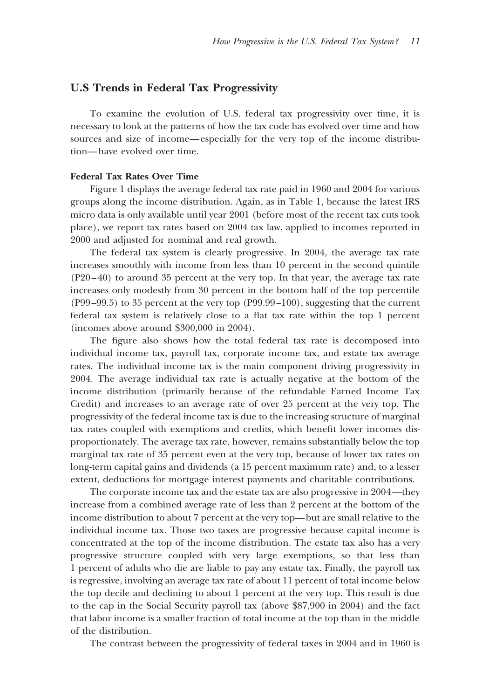## **U.S Trends in Federal Tax Progressivity**

To examine the evolution of U.S. federal tax progressivity over time, it is necessary to look at the patterns of how the tax code has evolved over time and how sources and size of income—especially for the very top of the income distribution—have evolved over time.

## **Federal Tax Rates Over Time**

Figure 1 displays the average federal tax rate paid in 1960 and 2004 for various groups along the income distribution. Again, as in Table 1, because the latest IRS micro data is only available until year 2001 (before most of the recent tax cuts took place), we report tax rates based on 2004 tax law, applied to incomes reported in 2000 and adjusted for nominal and real growth.

The federal tax system is clearly progressive. In 2004, the average tax rate increases smoothly with income from less than 10 percent in the second quintile (P20–40) to around 35 percent at the very top. In that year, the average tax rate increases only modestly from 30 percent in the bottom half of the top percentile (P99–99.5) to 35 percent at the very top (P99.99–100), suggesting that the current federal tax system is relatively close to a flat tax rate within the top 1 percent (incomes above around \$300,000 in 2004).

The figure also shows how the total federal tax rate is decomposed into individual income tax, payroll tax, corporate income tax, and estate tax average rates. The individual income tax is the main component driving progressivity in 2004. The average individual tax rate is actually negative at the bottom of the income distribution (primarily because of the refundable Earned Income Tax Credit) and increases to an average rate of over 25 percent at the very top. The progressivity of the federal income tax is due to the increasing structure of marginal tax rates coupled with exemptions and credits, which benefit lower incomes disproportionately. The average tax rate, however, remains substantially below the top marginal tax rate of 35 percent even at the very top, because of lower tax rates on long-term capital gains and dividends (a 15 percent maximum rate) and, to a lesser extent, deductions for mortgage interest payments and charitable contributions.

The corporate income tax and the estate tax are also progressive in 2004—they increase from a combined average rate of less than 2 percent at the bottom of the income distribution to about 7 percent at the very top—but are small relative to the individual income tax. Those two taxes are progressive because capital income is concentrated at the top of the income distribution. The estate tax also has a very progressive structure coupled with very large exemptions, so that less than 1 percent of adults who die are liable to pay any estate tax. Finally, the payroll tax is regressive, involving an average tax rate of about 11 percent of total income below the top decile and declining to about 1 percent at the very top. This result is due to the cap in the Social Security payroll tax (above \$87,900 in 2004) and the fact that labor income is a smaller fraction of total income at the top than in the middle of the distribution.

The contrast between the progressivity of federal taxes in 2004 and in 1960 is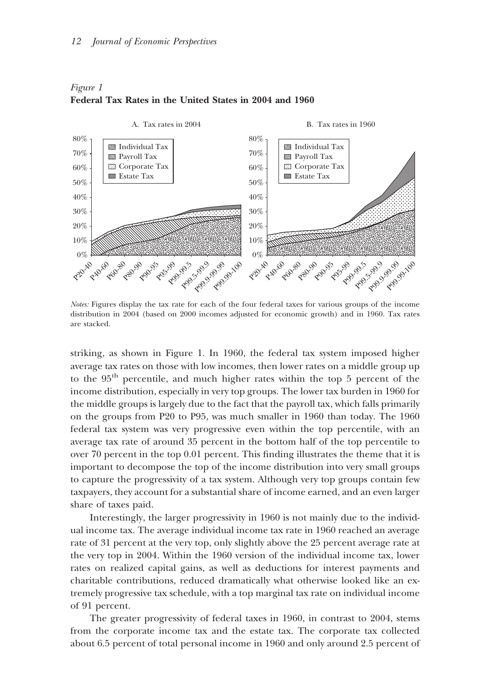#### *12 Journal of Economic Perspectives*



## *Figure 1* **Federal Tax Rates in the United States in 2004 and 1960**

*Notes:* Figures display the tax rate for each of the four federal taxes for various groups of the income distribution in 2004 (based on 2000 incomes adjusted for economic growth) and in 1960. Tax rates are stacked.

striking, as shown in Figure 1. In 1960, the federal tax system imposed higher average tax rates on those with low incomes, then lower rates on a middle group up to the 95th percentile, and much higher rates within the top 5 percent of the income distribution, especially in very top groups. The lower tax burden in 1960 for the middle groups is largely due to the fact that the payroll tax, which falls primarily on the groups from P20 to P95, was much smaller in 1960 than today. The 1960 federal tax system was very progressive even within the top percentile, with an average tax rate of around 35 percent in the bottom half of the top percentile to over 70 percent in the top 0.01 percent. This finding illustrates the theme that it is important to decompose the top of the income distribution into very small groups to capture the progressivity of a tax system. Although very top groups contain few taxpayers, they account for a substantial share of income earned, and an even larger share of taxes paid.

Interestingly, the larger progressivity in 1960 is not mainly due to the individual income tax. The average individual income tax rate in 1960 reached an average rate of 31 percent at the very top, only slightly above the 25 percent average rate at the very top in 2004. Within the 1960 version of the individual income tax, lower rates on realized capital gains, as well as deductions for interest payments and charitable contributions, reduced dramatically what otherwise looked like an extremely progressive tax schedule, with a top marginal tax rate on individual income of 91 percent.

The greater progressivity of federal taxes in 1960, in contrast to 2004, stems from the corporate income tax and the estate tax. The corporate tax collected about 6.5 percent of total personal income in 1960 and only around 2.5 percent of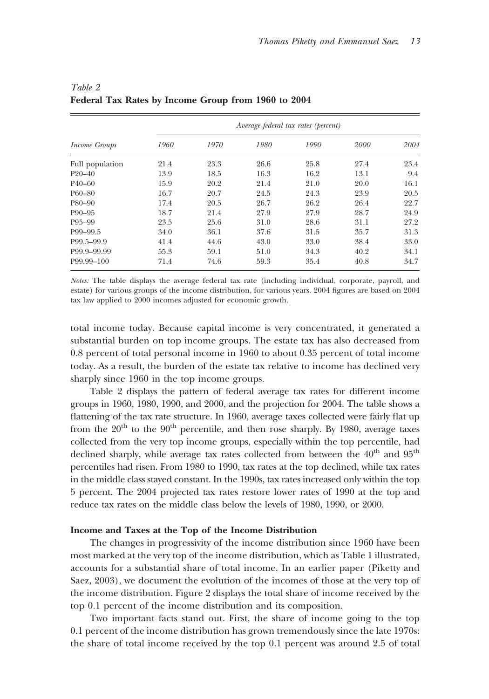|                      | Average federal tax rates (percent) |      |      |      |      |      |  |  |  |
|----------------------|-------------------------------------|------|------|------|------|------|--|--|--|
| <i>Income Groups</i> | 1960                                | 1970 | 1980 | 1990 | 2000 | 2004 |  |  |  |
| Full population      | 21.4                                | 23.3 | 26.6 | 25.8 | 27.4 | 23.4 |  |  |  |
| $P20 - 40$           | 13.9                                | 18.5 | 16.3 | 16.2 | 13.1 | 9.4  |  |  |  |
| $P40 - 60$           | 15.9                                | 20.2 | 21.4 | 21.0 | 20.0 | 16.1 |  |  |  |
| $P60 - 80$           | 16.7                                | 20.7 | 24.5 | 24.3 | 23.9 | 20.5 |  |  |  |
| P80-90               | 17.4                                | 20.5 | 26.7 | 26.2 | 26.4 | 22.7 |  |  |  |
| $P90 - 95$           | 18.7                                | 21.4 | 27.9 | 27.9 | 28.7 | 24.9 |  |  |  |
| P95-99               | 23.5                                | 25.6 | 31.0 | 28.6 | 31.1 | 27.2 |  |  |  |
| P99-99.5             | 34.0                                | 36.1 | 37.6 | 31.5 | 35.7 | 31.3 |  |  |  |
| P99.5-99.9           | 41.4                                | 44.6 | 43.0 | 33.0 | 38.4 | 33.0 |  |  |  |
| P99.9-99.99          | 55.3                                | 59.1 | 51.0 | 34.3 | 40.2 | 34.1 |  |  |  |
| P99.99-100           | 71.4                                | 74.6 | 59.3 | 35.4 | 40.8 | 34.7 |  |  |  |

# *Table 2* **Federal Tax Rates by Income Group from 1960 to 2004**

*Notes:* The table displays the average federal tax rate (including individual, corporate, payroll, and estate) for various groups of the income distribution, for various years. 2004 figures are based on 2004 tax law applied to 2000 incomes adjusted for economic growth.

total income today. Because capital income is very concentrated, it generated a substantial burden on top income groups. The estate tax has also decreased from 0.8 percent of total personal income in 1960 to about 0.35 percent of total income today. As a result, the burden of the estate tax relative to income has declined very sharply since 1960 in the top income groups.

Table 2 displays the pattern of federal average tax rates for different income groups in 1960, 1980, 1990, and 2000, and the projection for 2004. The table shows a flattening of the tax rate structure. In 1960, average taxes collected were fairly flat up from the  $20<sup>th</sup>$  to the  $90<sup>th</sup>$  percentile, and then rose sharply. By 1980, average taxes collected from the very top income groups, especially within the top percentile, had declined sharply, while average tax rates collected from between the 40<sup>th</sup> and 95<sup>th</sup> percentiles had risen. From 1980 to 1990, tax rates at the top declined, while tax rates in the middle class stayed constant. In the 1990s, tax rates increased only within the top 5 percent. The 2004 projected tax rates restore lower rates of 1990 at the top and reduce tax rates on the middle class below the levels of 1980, 1990, or 2000.

## **Income and Taxes at the Top of the Income Distribution**

The changes in progressivity of the income distribution since 1960 have been most marked at the very top of the income distribution, which as Table 1 illustrated, accounts for a substantial share of total income. In an earlier paper (Piketty and Saez, 2003), we document the evolution of the incomes of those at the very top of the income distribution. Figure 2 displays the total share of income received by the top 0.1 percent of the income distribution and its composition.

Two important facts stand out. First, the share of income going to the top 0.1 percent of the income distribution has grown tremendously since the late 1970s: the share of total income received by the top 0.1 percent was around 2.5 of total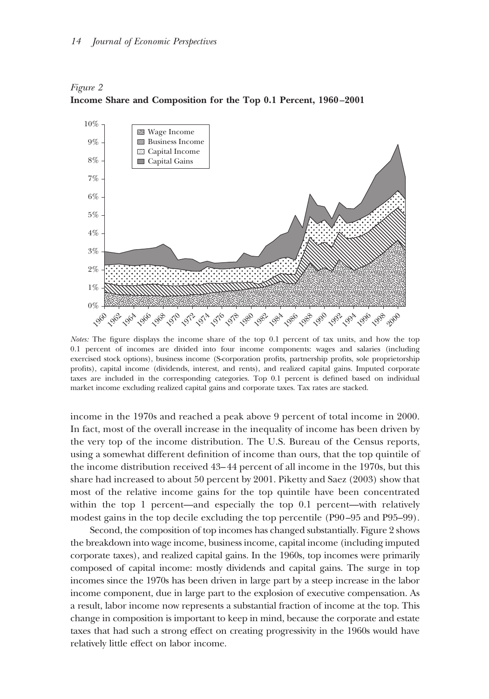



*Notes:* The figure displays the income share of the top 0.1 percent of tax units, and how the top 0.1 percent of incomes are divided into four income components: wages and salaries (including exercised stock options), business income (S-corporation profits, partnership profits, sole proprietorship profits), capital income (dividends, interest, and rents), and realized capital gains. Imputed corporate taxes are included in the corresponding categories. Top 0.1 percent is defined based on individual market income excluding realized capital gains and corporate taxes. Tax rates are stacked.

income in the 1970s and reached a peak above 9 percent of total income in 2000. In fact, most of the overall increase in the inequality of income has been driven by the very top of the income distribution. The U.S. Bureau of the Census reports, using a somewhat different definition of income than ours, that the top quintile of the income distribution received 43–44 percent of all income in the 1970s, but this share had increased to about 50 percent by 2001. Piketty and Saez (2003) show that most of the relative income gains for the top quintile have been concentrated within the top 1 percent—and especially the top 0.1 percent—with relatively modest gains in the top decile excluding the top percentile (P90–95 and P95–99).

Second, the composition of top incomes has changed substantially. Figure 2 shows the breakdown into wage income, business income, capital income (including imputed corporate taxes), and realized capital gains. In the 1960s, top incomes were primarily composed of capital income: mostly dividends and capital gains. The surge in top incomes since the 1970s has been driven in large part by a steep increase in the labor income component, due in large part to the explosion of executive compensation. As a result, labor income now represents a substantial fraction of income at the top. This change in composition is important to keep in mind, because the corporate and estate taxes that had such a strong effect on creating progressivity in the 1960s would have relatively little effect on labor income.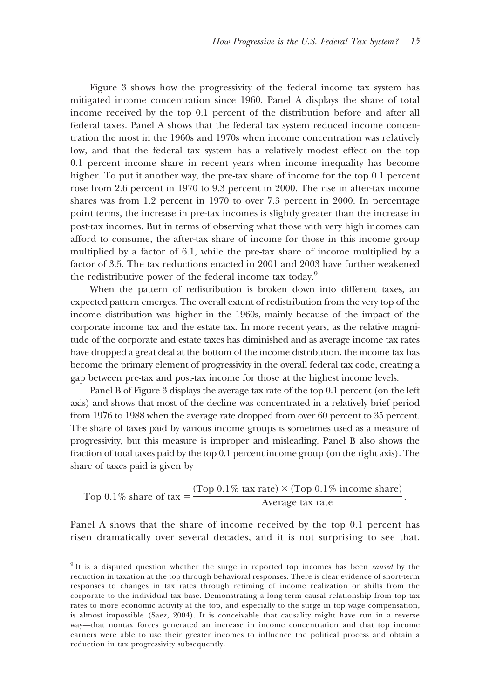Figure 3 shows how the progressivity of the federal income tax system has mitigated income concentration since 1960. Panel A displays the share of total income received by the top 0.1 percent of the distribution before and after all federal taxes. Panel A shows that the federal tax system reduced income concentration the most in the 1960s and 1970s when income concentration was relatively low, and that the federal tax system has a relatively modest effect on the top 0.1 percent income share in recent years when income inequality has become higher. To put it another way, the pre-tax share of income for the top 0.1 percent rose from 2.6 percent in 1970 to 9.3 percent in 2000. The rise in after-tax income shares was from 1.2 percent in 1970 to over 7.3 percent in 2000. In percentage point terms, the increase in pre-tax incomes is slightly greater than the increase in post-tax incomes. But in terms of observing what those with very high incomes can afford to consume, the after-tax share of income for those in this income group multiplied by a factor of 6.1, while the pre-tax share of income multiplied by a factor of 3.5. The tax reductions enacted in 2001 and 2003 have further weakened the redistributive power of the federal income tax today.<sup>9</sup>

When the pattern of redistribution is broken down into different taxes, an expected pattern emerges. The overall extent of redistribution from the very top of the income distribution was higher in the 1960s, mainly because of the impact of the corporate income tax and the estate tax. In more recent years, as the relative magnitude of the corporate and estate taxes has diminished and as average income tax rates have dropped a great deal at the bottom of the income distribution, the income tax has become the primary element of progressivity in the overall federal tax code, creating a gap between pre-tax and post-tax income for those at the highest income levels.

Panel B of Figure 3 displays the average tax rate of the top 0.1 percent (on the left axis) and shows that most of the decline was concentrated in a relatively brief period from 1976 to 1988 when the average rate dropped from over 60 percent to 35 percent. The share of taxes paid by various income groups is sometimes used as a measure of progressivity, but this measure is improper and misleading. Panel B also shows the fraction of total taxes paid by the top 0.1 percent income group (on the right axis). The share of taxes paid is given by

Top 0.1% share of tax = 
$$
\frac{(\text{Top 0.1\% tax rate}) \times (\text{Top 0.1\% income share})}{\text{Average tax rate}}.
$$

Panel A shows that the share of income received by the top 0.1 percent has risen dramatically over several decades, and it is not surprising to see that,

<sup>9</sup> It is a disputed question whether the surge in reported top incomes has been *caused* by the reduction in taxation at the top through behavioral responses. There is clear evidence of short-term responses to changes in tax rates through retiming of income realization or shifts from the corporate to the individual tax base. Demonstrating a long-term causal relationship from top tax rates to more economic activity at the top, and especially to the surge in top wage compensation, is almost impossible (Saez, 2004). It is conceivable that causality might have run in a reverse way—that nontax forces generated an increase in income concentration and that top income earners were able to use their greater incomes to influence the political process and obtain a reduction in tax progressivity subsequently.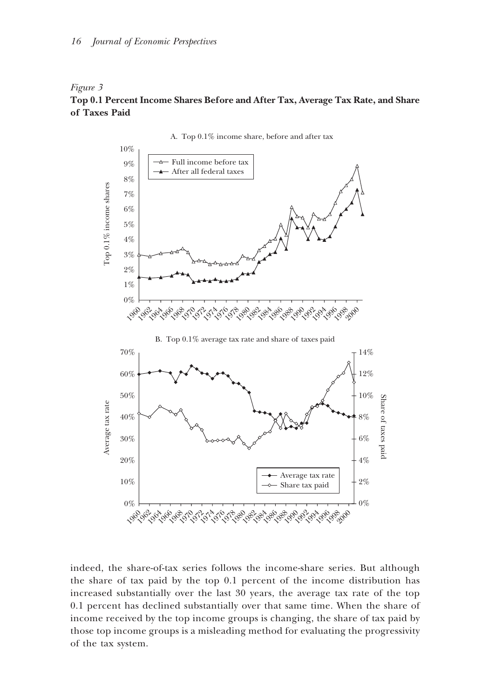## *Figure 3*

# **Top 0.1 Percent Income Shares Before and After Tax, Average Tax Rate, and Share of Taxes Paid**



A. Top 0.1% income share, before and after tax

indeed, the share-of-tax series follows the income-share series. But although the share of tax paid by the top 0.1 percent of the income distribution has increased substantially over the last 30 years, the average tax rate of the top 0.1 percent has declined substantially over that same time. When the share of income received by the top income groups is changing, the share of tax paid by those top income groups is a misleading method for evaluating the progressivity of the tax system.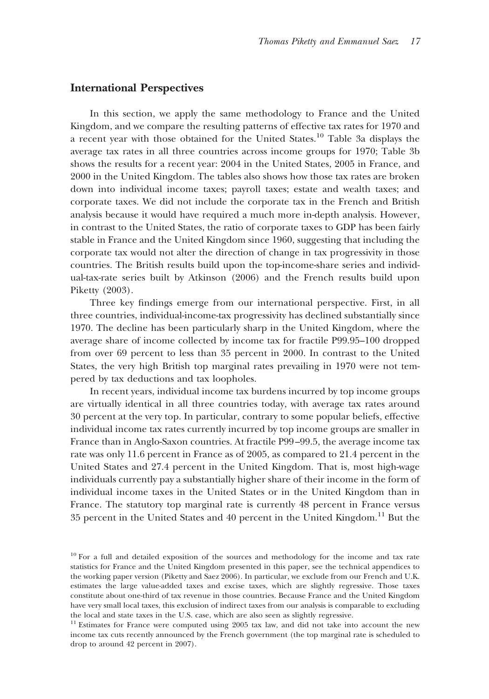## **International Perspectives**

In this section, we apply the same methodology to France and the United Kingdom, and we compare the resulting patterns of effective tax rates for 1970 and a recent year with those obtained for the United States.10 Table 3a displays the average tax rates in all three countries across income groups for 1970; Table 3b shows the results for a recent year: 2004 in the United States, 2005 in France, and 2000 in the United Kingdom. The tables also shows how those tax rates are broken down into individual income taxes; payroll taxes; estate and wealth taxes; and corporate taxes. We did not include the corporate tax in the French and British analysis because it would have required a much more in-depth analysis. However, in contrast to the United States, the ratio of corporate taxes to GDP has been fairly stable in France and the United Kingdom since 1960, suggesting that including the corporate tax would not alter the direction of change in tax progressivity in those countries. The British results build upon the top-income-share series and individual-tax-rate series built by Atkinson (2006) and the French results build upon Piketty (2003).

Three key findings emerge from our international perspective. First, in all three countries, individual-income-tax progressivity has declined substantially since 1970. The decline has been particularly sharp in the United Kingdom, where the average share of income collected by income tax for fractile P99.95–100 dropped from over 69 percent to less than 35 percent in 2000. In contrast to the United States, the very high British top marginal rates prevailing in 1970 were not tempered by tax deductions and tax loopholes.

In recent years, individual income tax burdens incurred by top income groups are virtually identical in all three countries today, with average tax rates around 30 percent at the very top. In particular, contrary to some popular beliefs, effective individual income tax rates currently incurred by top income groups are smaller in France than in Anglo-Saxon countries. At fractile P99–99.5, the average income tax rate was only 11.6 percent in France as of 2005, as compared to 21.4 percent in the United States and 27.4 percent in the United Kingdom. That is, most high-wage individuals currently pay a substantially higher share of their income in the form of individual income taxes in the United States or in the United Kingdom than in France. The statutory top marginal rate is currently 48 percent in France versus 35 percent in the United States and 40 percent in the United Kingdom.11 But the

<sup>&</sup>lt;sup>10</sup> For a full and detailed exposition of the sources and methodology for the income and tax rate statistics for France and the United Kingdom presented in this paper, see the technical appendices to the working paper version (Piketty and Saez 2006). In particular, we exclude from our French and U.K. estimates the large value-added taxes and excise taxes, which are slightly regressive. Those taxes constitute about one-third of tax revenue in those countries. Because France and the United Kingdom have very small local taxes, this exclusion of indirect taxes from our analysis is comparable to excluding the local and state taxes in the U.S. case, which are also seen as slightly regressive.

<sup>&</sup>lt;sup>11</sup> Estimates for France were computed using 2005 tax law, and did not take into account the new income tax cuts recently announced by the French government (the top marginal rate is scheduled to drop to around 42 percent in 2007).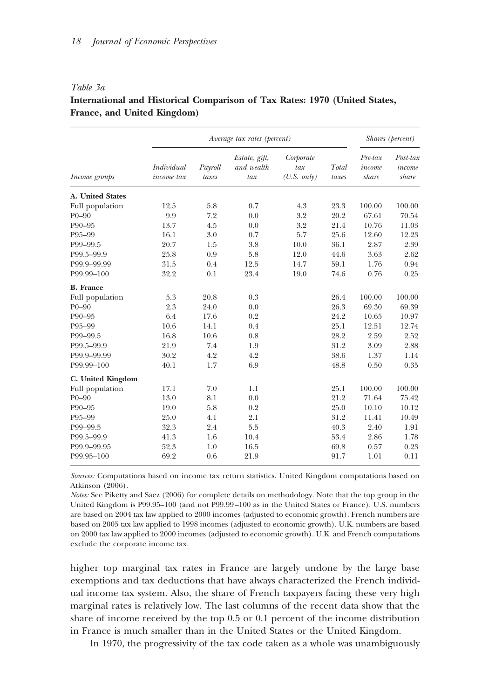## *Table 3a*

# **International and Historical Comparison of Tax Rates: 1970 (United States, France, and United Kingdom)**

|                   |                          |                  | Average tax rates (percent)        |                                           |                | Shares (percent)           |                                |  |
|-------------------|--------------------------|------------------|------------------------------------|-------------------------------------------|----------------|----------------------------|--------------------------------|--|
| Income groups     | Individual<br>income tax | Payroll<br>taxes | Estate, gift,<br>and wealth<br>tax | Corporate<br>tax<br>$(U.S. \text{ only})$ | Total<br>taxes | Pre-tax<br>income<br>share | $Post$ -tax<br>income<br>share |  |
| A. United States  |                          |                  |                                    |                                           |                |                            |                                |  |
| Full population   | 12.5                     | 5.8              | 0.7                                | 4.3                                       | 23.3           | 100.00                     | 100.00                         |  |
| $P0-90$           | 9.9                      | 7.2              | 0.0                                | 3.2                                       | 20.2           | 67.61                      | 70.54                          |  |
| P90-95            | 13.7                     | 4.5              | 0.0                                | 3.2                                       | 21.4           | 10.76                      | 11.03                          |  |
| P95-99            | 16.1                     | 3.0              | 0.7                                | 5.7                                       | 25.6           | 12.60                      | 12.23                          |  |
| P99-99.5          | 20.7                     | 1.5              | 3.8                                | 10.0                                      | 36.1           | 2.87                       | 2.39                           |  |
| P99.5-99.9        | 25.8                     | 0.9              | 5.8                                | 12.0                                      | 44.6           | 3.63                       | 2.62                           |  |
| P99.9-99.99       | 31.5                     | 0.4              | 12.5                               | 14.7                                      | 59.1           | 1.76                       | 0.94                           |  |
| P99.99-100        | 32.2                     | 0.1              | 23.4                               | 19.0                                      | 74.6           | 0.76                       | 0.25                           |  |
| <b>B.</b> France  |                          |                  |                                    |                                           |                |                            |                                |  |
| Full population   | 5.3                      | 20.8             | 0.3                                |                                           | 26.4           | 100.00                     | 100.00                         |  |
| $P0-90$           | 2.3                      | 24.0             | 0.0                                |                                           | 26.3           | 69.30                      | 69.39                          |  |
| P90-95            | 6.4                      | 17.6             | 0.2                                |                                           | 24.2           | 10.65                      | 10.97                          |  |
| P95-99            | 10.6                     | 14.1             | 0.4                                |                                           | 25.1           | 12.51                      | 12.74                          |  |
| P99-99.5          | 16.8                     | 10.6             | 0.8                                |                                           | 28.2           | 2.59                       | 2.52                           |  |
| P99.5-99.9        | 21.9                     | 7.4              | 1.9                                |                                           | 31.2           | 3.09                       | 2.88                           |  |
| P99.9-99.99       | 30.2                     | 4.2              | 4.2                                |                                           | 38.6           | 1.37                       | 1.14                           |  |
| P99.99-100        | 40.1                     | 1.7              | 6.9                                |                                           | 48.8           | 0.50                       | 0.35                           |  |
| C. United Kingdom |                          |                  |                                    |                                           |                |                            |                                |  |
| Full population   | 17.1                     | 7.0              | 1.1                                |                                           | 25.1           | 100.00                     | 100.00                         |  |
| $P0-90$           | 13.0                     | 8.1              | 0.0                                |                                           | 21.2           | 71.64                      | 75.42                          |  |
| P90-95            | 19.0                     | 5.8              | 0.2                                |                                           | 25.0           | 10.10                      | 10.12                          |  |
| P95-99            | 25.0                     | 4.1              | 2.1                                |                                           | 31.2           | 11.41                      | 10.49                          |  |
| P99-99.5          | 32.3                     | 2.4              | 5.5                                |                                           | 40.3           | 2.40                       | 1.91                           |  |
| P99.5-99.9        | 41.3                     | 1.6              | 10.4                               |                                           | 53.4           | 2.86                       | 1.78                           |  |
| P99.9-99.95       | 52.3                     | 1.0              | 16.5                               |                                           | 69.8           | 0.57                       | 0.23                           |  |
| P99.95-100        | 69.2                     | 0.6              | 21.9                               |                                           | 91.7           | 1.01                       | 0.11                           |  |

*Sources:* Computations based on income tax return statistics. United Kingdom computations based on Atkinson (2006).

*Notes:* See Piketty and Saez (2006) for complete details on methodology. Note that the top group in the United Kingdom is P99.95–100 (and not P99.99–100 as in the United States or France). U.S. numbers are based on 2004 tax law applied to 2000 incomes (adjusted to economic growth). French numbers are based on 2005 tax law applied to 1998 incomes (adjusted to economic growth). U.K. numbers are based on 2000 tax law applied to 2000 incomes (adjusted to economic growth). U.K. and French computations exclude the corporate income tax.

higher top marginal tax rates in France are largely undone by the large base exemptions and tax deductions that have always characterized the French individual income tax system. Also, the share of French taxpayers facing these very high marginal rates is relatively low. The last columns of the recent data show that the share of income received by the top 0.5 or 0.1 percent of the income distribution in France is much smaller than in the United States or the United Kingdom.

In 1970, the progressivity of the tax code taken as a whole was unambiguously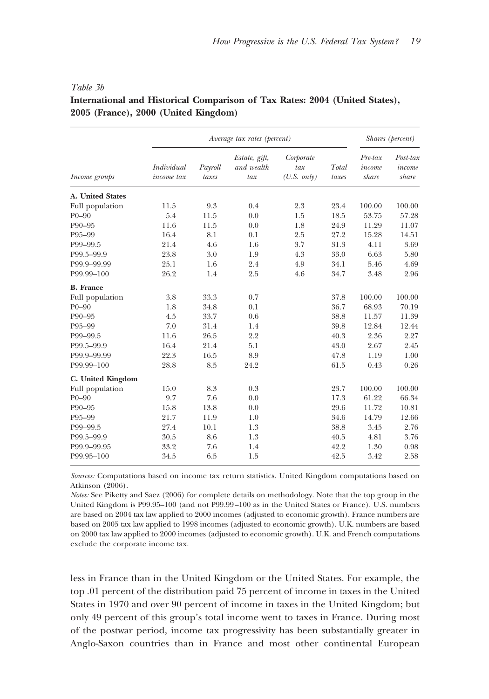|                   |                          |                  | Average tax rates (percent)        |                                           |                | Shares (percent)              |                                |  |
|-------------------|--------------------------|------------------|------------------------------------|-------------------------------------------|----------------|-------------------------------|--------------------------------|--|
| Income groups     | Individual<br>income tax | Payroll<br>taxes | Estate, gift,<br>and wealth<br>tax | Corporate<br>tax<br>$(U.S. \text{ only})$ | Total<br>taxes | $Pre$ -tax<br>income<br>share | $Post$ -tax<br>income<br>share |  |
| A. United States  |                          |                  |                                    |                                           |                |                               |                                |  |
| Full population   | 11.5                     | 9.3              | 0.4                                | 2.3                                       | 23.4           | 100.00                        | 100.00                         |  |
| $P0-90$           | 5.4                      | 11.5             | 0.0                                | 1.5                                       | 18.5           | 53.75                         | 57.28                          |  |
| P90-95            | 11.6                     | 11.5             | 0.0                                | 1.8                                       | 24.9           | 11.29                         | 11.07                          |  |
| P95-99            | 16.4                     | 8.1              | 0.1                                | 2.5                                       | 27.2           | 15.28                         | 14.51                          |  |
| P99-99.5          | 21.4                     | 4.6              | 1.6                                | 3.7                                       | 31.3           | 4.11                          | 3.69                           |  |
| P99.5-99.9        | 23.8                     | 3.0              | 1.9                                | 4.3                                       | 33.0           | 6.63                          | 5.80                           |  |
| P99.9-99.99       | 25.1                     | 1.6              | 2.4                                | 4.9                                       | 34.1           | 5.46                          | 4.69                           |  |
| P99.99-100        | 26.2                     | 1.4              | 2.5                                | 4.6                                       | 34.7           | 3.48                          | 2.96                           |  |
| <b>B.</b> France  |                          |                  |                                    |                                           |                |                               |                                |  |
| Full population   | 3.8                      | 33.3             | 0.7                                |                                           | 37.8           | 100.00                        | 100.00                         |  |
| $P0-90$           | 1.8                      | 34.8             | 0.1                                |                                           | 36.7           | 68.93                         | 70.19                          |  |
| P90-95            | 4.5                      | 33.7             | 0.6                                |                                           | 38.8           | 11.57                         | 11.39                          |  |
| P95-99            | 7.0                      | 31.4             | 1.4                                |                                           | 39.8           | 12.84                         | 12.44                          |  |
| P99-99.5          | 11.6                     | 26.5             | 2.2                                |                                           | 40.3           | 2.36                          | 2.27                           |  |
| P99.5-99.9        | 16.4                     | 21.4             | 5.1                                |                                           | 43.0           | 2.67                          | 2.45                           |  |
| P99.9-99.99       | 22.3                     | 16.5             | 8.9                                |                                           | 47.8           | 1.19                          | 1.00                           |  |
| P99.99-100        | 28.8                     | 8.5              | 24.2                               |                                           | 61.5           | 0.43                          | 0.26                           |  |
| C. United Kingdom |                          |                  |                                    |                                           |                |                               |                                |  |
| Full population   | 15.0                     | 8.3              | 0.3                                |                                           | 23.7           | 100.00                        | 100.00                         |  |
| $P0-90$           | 9.7                      | 7.6              | 0.0                                |                                           | 17.3           | 61.22                         | 66.34                          |  |
| P90-95            | 15.8                     | 13.8             | 0.0                                |                                           | 29.6           | 11.72                         | 10.81                          |  |
| P95-99            | 21.7                     | 11.9             | 1.0                                |                                           | 34.6           | 14.79                         | 12.66                          |  |
| P99-99.5          | 27.4                     | 10.1             | 1.3                                |                                           | 38.8           | 3.45                          | 2.76                           |  |
| P99.5-99.9        | 30.5                     | 8.6              | 1.3                                |                                           | 40.5           | 4.81                          | 3.76                           |  |
| P99.9-99.95       | 33.2                     | 7.6              | 1.4                                |                                           | 42.2           | 1.30                          | 0.98                           |  |
| P99.95-100        | 34.5                     | 6.5              | 1.5                                |                                           | 42.5           | 3.42                          | 2.58                           |  |

## *Table 3b*

# **International and Historical Comparison of Tax Rates: 2004 (United States), 2005 (France), 2000 (United Kingdom)**

*Sources:* Computations based on income tax return statistics. United Kingdom computations based on Atkinson (2006).

*Notes:* See Piketty and Saez (2006) for complete details on methodology. Note that the top group in the United Kingdom is P99.95–100 (and not P99.99–100 as in the United States or France). U.S. numbers are based on 2004 tax law applied to 2000 incomes (adjusted to economic growth). France numbers are based on 2005 tax law applied to 1998 incomes (adjusted to economic growth). U.K. numbers are based on 2000 tax law applied to 2000 incomes (adjusted to economic growth). U.K. and French computations exclude the corporate income tax.

less in France than in the United Kingdom or the United States. For example, the top .01 percent of the distribution paid 75 percent of income in taxes in the United States in 1970 and over 90 percent of income in taxes in the United Kingdom; but only 49 percent of this group's total income went to taxes in France. During most of the postwar period, income tax progressivity has been substantially greater in Anglo-Saxon countries than in France and most other continental European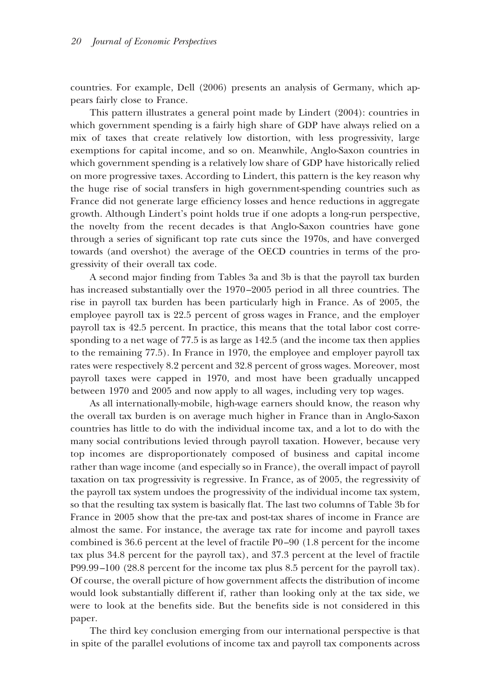countries. For example, Dell (2006) presents an analysis of Germany, which appears fairly close to France.

This pattern illustrates a general point made by Lindert (2004): countries in which government spending is a fairly high share of GDP have always relied on a mix of taxes that create relatively low distortion, with less progressivity, large exemptions for capital income, and so on. Meanwhile, Anglo-Saxon countries in which government spending is a relatively low share of GDP have historically relied on more progressive taxes. According to Lindert, this pattern is the key reason why the huge rise of social transfers in high government-spending countries such as France did not generate large efficiency losses and hence reductions in aggregate growth. Although Lindert's point holds true if one adopts a long-run perspective, the novelty from the recent decades is that Anglo-Saxon countries have gone through a series of significant top rate cuts since the 1970s, and have converged towards (and overshot) the average of the OECD countries in terms of the progressivity of their overall tax code.

A second major finding from Tables 3a and 3b is that the payroll tax burden has increased substantially over the 1970–2005 period in all three countries. The rise in payroll tax burden has been particularly high in France. As of 2005, the employee payroll tax is 22.5 percent of gross wages in France, and the employer payroll tax is 42.5 percent. In practice, this means that the total labor cost corresponding to a net wage of 77.5 is as large as 142.5 (and the income tax then applies to the remaining 77.5). In France in 1970, the employee and employer payroll tax rates were respectively 8.2 percent and 32.8 percent of gross wages. Moreover, most payroll taxes were capped in 1970, and most have been gradually uncapped between 1970 and 2005 and now apply to all wages, including very top wages.

As all internationally-mobile, high-wage earners should know, the reason why the overall tax burden is on average much higher in France than in Anglo-Saxon countries has little to do with the individual income tax, and a lot to do with the many social contributions levied through payroll taxation. However, because very top incomes are disproportionately composed of business and capital income rather than wage income (and especially so in France), the overall impact of payroll taxation on tax progressivity is regressive. In France, as of 2005, the regressivity of the payroll tax system undoes the progressivity of the individual income tax system, so that the resulting tax system is basically flat. The last two columns of Table 3b for France in 2005 show that the pre-tax and post-tax shares of income in France are almost the same. For instance, the average tax rate for income and payroll taxes combined is 36.6 percent at the level of fractile P0–90 (1.8 percent for the income tax plus 34.8 percent for the payroll tax), and 37.3 percent at the level of fractile P99.99–100 (28.8 percent for the income tax plus 8.5 percent for the payroll tax). Of course, the overall picture of how government affects the distribution of income would look substantially different if, rather than looking only at the tax side, we were to look at the benefits side. But the benefits side is not considered in this paper.

The third key conclusion emerging from our international perspective is that in spite of the parallel evolutions of income tax and payroll tax components across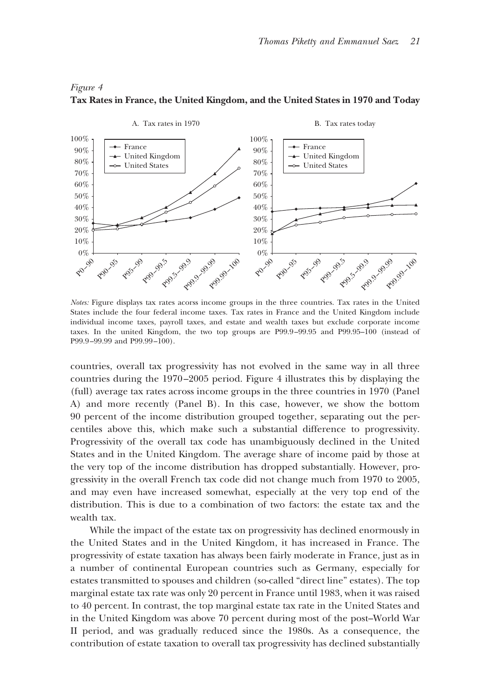#### *Figure 4*



#### **Tax Rates in France, the United Kingdom, and the United States in 1970 and Today**

*Notes:* Figure displays tax rates acorss income groups in the three countries. Tax rates in the United States include the four federal income taxes. Tax rates in France and the United Kingdom include individual income taxes, payroll taxes, and estate and wealth taxes but exclude corporate income taxes. In the united Kingdom, the two top groups are P99.9–99.95 and P99.95–100 (instead of P99.9–99.99 and P99.99–100).

countries, overall tax progressivity has not evolved in the same way in all three countries during the 1970–2005 period. Figure 4 illustrates this by displaying the (full) average tax rates across income groups in the three countries in 1970 (Panel A) and more recently (Panel B). In this case, however, we show the bottom 90 percent of the income distribution grouped together, separating out the percentiles above this, which make such a substantial difference to progressivity. Progressivity of the overall tax code has unambiguously declined in the United States and in the United Kingdom. The average share of income paid by those at the very top of the income distribution has dropped substantially. However, progressivity in the overall French tax code did not change much from 1970 to 2005, and may even have increased somewhat, especially at the very top end of the distribution. This is due to a combination of two factors: the estate tax and the wealth tax.

While the impact of the estate tax on progressivity has declined enormously in the United States and in the United Kingdom, it has increased in France. The progressivity of estate taxation has always been fairly moderate in France, just as in a number of continental European countries such as Germany, especially for estates transmitted to spouses and children (so-called "direct line" estates). The top marginal estate tax rate was only 20 percent in France until 1983, when it was raised to 40 percent. In contrast, the top marginal estate tax rate in the United States and in the United Kingdom was above 70 percent during most of the post–World War II period, and was gradually reduced since the 1980s. As a consequence, the contribution of estate taxation to overall tax progressivity has declined substantially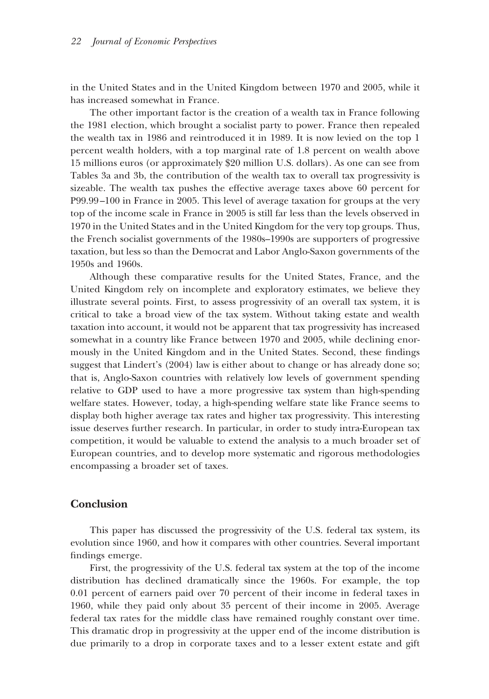in the United States and in the United Kingdom between 1970 and 2005, while it has increased somewhat in France.

The other important factor is the creation of a wealth tax in France following the 1981 election, which brought a socialist party to power. France then repealed the wealth tax in 1986 and reintroduced it in 1989. It is now levied on the top 1 percent wealth holders, with a top marginal rate of 1.8 percent on wealth above 15 millions euros (or approximately \$20 million U.S. dollars). As one can see from Tables 3a and 3b, the contribution of the wealth tax to overall tax progressivity is sizeable. The wealth tax pushes the effective average taxes above 60 percent for P99.99–100 in France in 2005. This level of average taxation for groups at the very top of the income scale in France in 2005 is still far less than the levels observed in 1970 in the United States and in the United Kingdom for the very top groups. Thus, the French socialist governments of the 1980s–1990s are supporters of progressive taxation, but less so than the Democrat and Labor Anglo-Saxon governments of the 1950s and 1960s.

Although these comparative results for the United States, France, and the United Kingdom rely on incomplete and exploratory estimates, we believe they illustrate several points. First, to assess progressivity of an overall tax system, it is critical to take a broad view of the tax system. Without taking estate and wealth taxation into account, it would not be apparent that tax progressivity has increased somewhat in a country like France between 1970 and 2005, while declining enormously in the United Kingdom and in the United States. Second, these findings suggest that Lindert's (2004) law is either about to change or has already done so; that is, Anglo-Saxon countries with relatively low levels of government spending relative to GDP used to have a more progressive tax system than high-spending welfare states. However, today, a high-spending welfare state like France seems to display both higher average tax rates and higher tax progressivity. This interesting issue deserves further research. In particular, in order to study intra-European tax competition, it would be valuable to extend the analysis to a much broader set of European countries, and to develop more systematic and rigorous methodologies encompassing a broader set of taxes.

## **Conclusion**

This paper has discussed the progressivity of the U.S. federal tax system, its evolution since 1960, and how it compares with other countries. Several important findings emerge.

First, the progressivity of the U.S. federal tax system at the top of the income distribution has declined dramatically since the 1960s. For example, the top 0.01 percent of earners paid over 70 percent of their income in federal taxes in 1960, while they paid only about 35 percent of their income in 2005. Average federal tax rates for the middle class have remained roughly constant over time. This dramatic drop in progressivity at the upper end of the income distribution is due primarily to a drop in corporate taxes and to a lesser extent estate and gift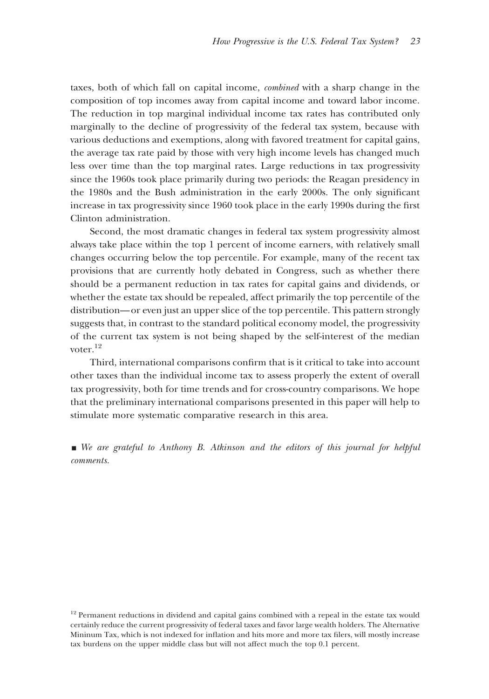taxes, both of which fall on capital income, *combined* with a sharp change in the composition of top incomes away from capital income and toward labor income. The reduction in top marginal individual income tax rates has contributed only marginally to the decline of progressivity of the federal tax system, because with various deductions and exemptions, along with favored treatment for capital gains, the average tax rate paid by those with very high income levels has changed much less over time than the top marginal rates. Large reductions in tax progressivity since the 1960s took place primarily during two periods: the Reagan presidency in the 1980s and the Bush administration in the early 2000s. The only significant increase in tax progressivity since 1960 took place in the early 1990s during the first Clinton administration.

Second, the most dramatic changes in federal tax system progressivity almost always take place within the top 1 percent of income earners, with relatively small changes occurring below the top percentile. For example, many of the recent tax provisions that are currently hotly debated in Congress, such as whether there should be a permanent reduction in tax rates for capital gains and dividends, or whether the estate tax should be repealed, affect primarily the top percentile of the distribution—or even just an upper slice of the top percentile. This pattern strongly suggests that, in contrast to the standard political economy model, the progressivity of the current tax system is not being shaped by the self-interest of the median voter.12

Third, international comparisons confirm that is it critical to take into account other taxes than the individual income tax to assess properly the extent of overall tax progressivity, both for time trends and for cross-country comparisons. We hope that the preliminary international comparisons presented in this paper will help to stimulate more systematic comparative research in this area.

**We are grateful to Anthony B.** Atkinson and the editors of this journal for helpful *comments.*

<sup>&</sup>lt;sup>12</sup> Permanent reductions in dividend and capital gains combined with a repeal in the estate tax would certainly reduce the current progressivity of federal taxes and favor large wealth holders. The Alternative Mininum Tax, which is not indexed for inflation and hits more and more tax filers, will mostly increase tax burdens on the upper middle class but will not affect much the top 0.1 percent.